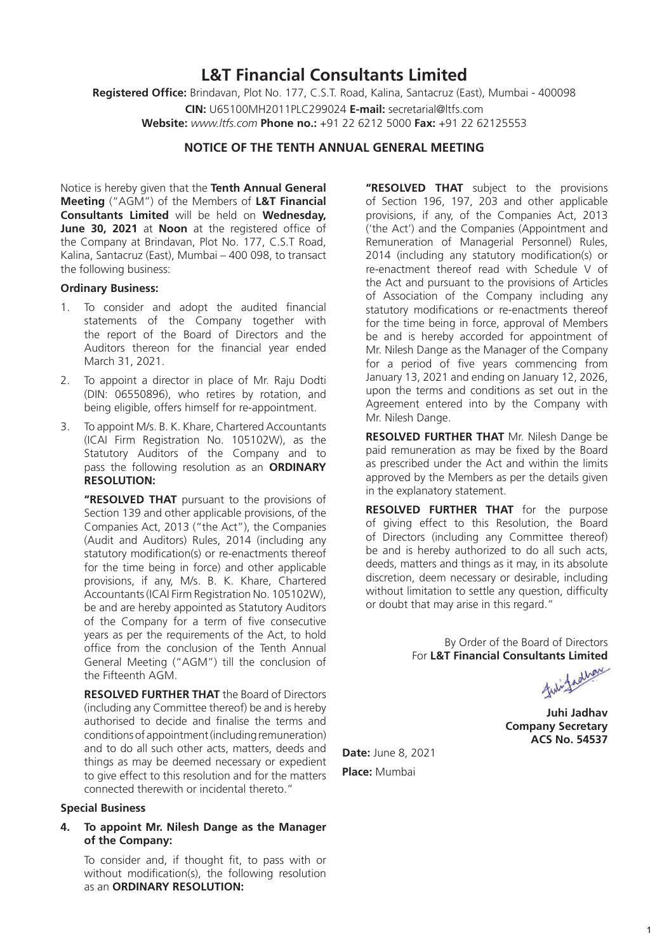## **L&T Financial Consultants Limited**

**Registered Office:** Brindavan, Plot No. 177, C.S.T. Road, Kalina, Santacruz (East), Mumbai - 400098 **CIN:** U65100MH2011PLC299024 **E-mail:** secretarial@ltfs.com **Website:** *www.ltfs.com* **Phone no.:** +91 22 6212 5000 **Fax:** +91 22 62125553

## **NOTICE OF THE TENTH ANNUAL GENERAL MEETING**

Notice is hereby given that the **Tenth Annual General Meeting** ("AGM") of the Members of **L&T Financial Consultants Limited** will be held on **Wednesday, June 30, 2021** at **Noon** at the registered office of the Company at Brindavan, Plot No. 177, C.S.T Road, Kalina, Santacruz (East), Mumbai – 400 098, to transact the following business:

#### **Ordinary Business:**

- 1. To consider and adopt the audited financial statements of the Company together with the report of the Board of Directors and the Auditors thereon for the financial year ended March 31, 2021.
- 2. To appoint a director in place of Mr. Raju Dodti (DIN: 06550896), who retires by rotation, and being eligible, offers himself for re-appointment.
- 3. To appoint M/s. B. K. Khare, Chartered Accountants (ICAI Firm Registration No. 105102W), as the Statutory Auditors of the Company and to pass the following resolution as an **ORDINARY RESOLUTION:**

**"RESOLVED THAT** pursuant to the provisions of Section 139 and other applicable provisions, of the Companies Act, 2013 ("the Act"), the Companies (Audit and Auditors) Rules, 2014 (including any statutory modification(s) or re-enactments thereof for the time being in force) and other applicable provisions, if any, M/s. B. K. Khare, Chartered Accountants (ICAI Firm Registration No. 105102W), be and are hereby appointed as Statutory Auditors of the Company for a term of five consecutive years as per the requirements of the Act, to hold office from the conclusion of the Tenth Annual General Meeting ("AGM") till the conclusion of the Fifteenth AGM.

**RESOLVED FURTHER THAT** the Board of Directors (including any Committee thereof) be and is hereby authorised to decide and finalise the terms and conditions of appointment (including remuneration) and to do all such other acts, matters, deeds and things as may be deemed necessary or expedient to give effect to this resolution and for the matters connected therewith or incidental thereto."

#### **Special Business**

**4. To appoint Mr. Nilesh Dange as the Manager of the Company:**

To consider and, if thought fit, to pass with or without modification(s), the following resolution as an **ORDINARY RESOLUTION:**

**"RESOLVED THAT** subject to the provisions of Section 196, 197, 203 and other applicable provisions, if any, of the Companies Act, 2013 ('the Act') and the Companies (Appointment and Remuneration of Managerial Personnel) Rules, 2014 (including any statutory modification(s) or re-enactment thereof read with Schedule V of the Act and pursuant to the provisions of Articles of Association of the Company including any statutory modifications or re-enactments thereof for the time being in force, approval of Members be and is hereby accorded for appointment of Mr. Nilesh Dange as the Manager of the Company for a period of five years commencing from January 13, 2021 and ending on January 12, 2026, upon the terms and conditions as set out in the Agreement entered into by the Company with Mr. Nilesh Dange.

**RESOLVED FURTHER THAT** Mr. Nilesh Dange be paid remuneration as may be fixed by the Board as prescribed under the Act and within the limits approved by the Members as per the details given in the explanatory statement.

**RESOLVED FURTHER THAT** for the purpose of giving effect to this Resolution, the Board of Directors (including any Committee thereof) be and is hereby authorized to do all such acts, deeds, matters and things as it may, in its absolute discretion, deem necessary or desirable, including without limitation to settle any question, difficulty or doubt that may arise in this regard."

> By Order of the Board of Directors For **L&T Financial Consultants Limited**<br>A highway

**Juhi Jadhav Company Secretary ACS No. 54537**

**Date:** June 8, 2021 **Place:** Mumbai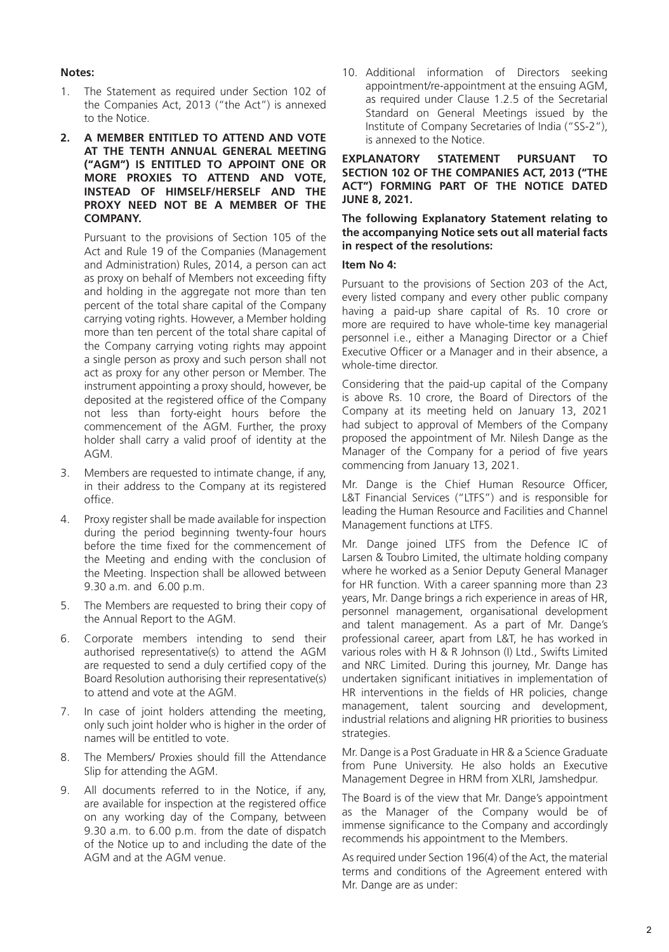#### **Notes:**

- 1. The Statement as required under Section 102 of the Companies Act, 2013 ("the Act") is annexed to the Notice.
- **2. A MEMBER ENTITLED TO ATTEND AND VOTE AT THE TENTH ANNUAL GENERAL MEETING ("AGM") IS ENTITLED TO APPOINT ONE OR MORE PROXIES TO ATTEND AND VOTE, INSTEAD OF HIMSELF/HERSELF AND THE PROXY NEED NOT BE A MEMBER OF THE COMPANY.**

Pursuant to the provisions of Section 105 of the Act and Rule 19 of the Companies (Management and Administration) Rules, 2014, a person can act as proxy on behalf of Members not exceeding fifty and holding in the aggregate not more than ten percent of the total share capital of the Company carrying voting rights. However, a Member holding more than ten percent of the total share capital of the Company carrying voting rights may appoint a single person as proxy and such person shall not act as proxy for any other person or Member. The instrument appointing a proxy should, however, be deposited at the registered office of the Company not less than forty-eight hours before the commencement of the AGM. Further, the proxy holder shall carry a valid proof of identity at the AGM.

- 3. Members are requested to intimate change, if any, in their address to the Company at its registered office.
- 4. Proxy register shall be made available for inspection during the period beginning twenty-four hours before the time fixed for the commencement of the Meeting and ending with the conclusion of the Meeting. Inspection shall be allowed between 9.30 a.m. and 6.00 p.m.
- 5. The Members are requested to bring their copy of the Annual Report to the AGM.
- 6. Corporate members intending to send their authorised representative(s) to attend the AGM are requested to send a duly certified copy of the Board Resolution authorising their representative(s) to attend and vote at the AGM.
- 7. In case of joint holders attending the meeting, only such joint holder who is higher in the order of names will be entitled to vote.
- 8. The Members/ Proxies should fill the Attendance Slip for attending the AGM.
- 9. All documents referred to in the Notice, if any, are available for inspection at the registered office on any working day of the Company, between 9.30 a.m. to 6.00 p.m. from the date of dispatch of the Notice up to and including the date of the AGM and at the AGM venue.

10. Additional information of Directors seeking appointment/re-appointment at the ensuing AGM, as required under Clause 1.2.5 of the Secretarial Standard on General Meetings issued by the Institute of Company Secretaries of India ("SS-2"), is annexed to the Notice.

**EXPLANATORY STATEMENT PURSUANT TO SECTION 102 OF THE COMPANIES ACT, 2013 ("THE ACT") FORMING PART OF THE NOTICE DATED JUNE 8, 2021.**

#### **The following Explanatory Statement relating to the accompanying Notice sets out all material facts in respect of the resolutions:**

#### **Item No 4:**

Pursuant to the provisions of Section 203 of the Act, every listed company and every other public company having a paid-up share capital of Rs. 10 crore or more are required to have whole-time key managerial personnel i.e., either a Managing Director or a Chief Executive Officer or a Manager and in their absence, a whole-time director.

Considering that the paid-up capital of the Company is above Rs. 10 crore, the Board of Directors of the Company at its meeting held on January 13, 2021 had subject to approval of Members of the Company proposed the appointment of Mr. Nilesh Dange as the Manager of the Company for a period of five years commencing from January 13, 2021.

Mr. Dange is the Chief Human Resource Officer, L&T Financial Services ("LTFS") and is responsible for leading the Human Resource and Facilities and Channel Management functions at LTFS.

Mr. Dange joined LTFS from the Defence IC of Larsen & Toubro Limited, the ultimate holding company where he worked as a Senior Deputy General Manager for HR function. With a career spanning more than 23 years, Mr. Dange brings a rich experience in areas of HR, personnel management, organisational development and talent management. As a part of Mr. Dange's professional career, apart from L&T, he has worked in various roles with H & R Johnson (I) Ltd., Swifts Limited and NRC Limited. During this journey, Mr. Dange has undertaken significant initiatives in implementation of HR interventions in the fields of HR policies, change management, talent sourcing and development, industrial relations and aligning HR priorities to business strategies.

Mr. Dange is a Post Graduate in HR & a Science Graduate from Pune University. He also holds an Executive Management Degree in HRM from XLRI, Jamshedpur.

The Board is of the view that Mr. Dange's appointment as the Manager of the Company would be of immense significance to the Company and accordingly recommends his appointment to the Members.

As required under Section 196(4) of the Act, the material terms and conditions of the Agreement entered with Mr. Dange are as under: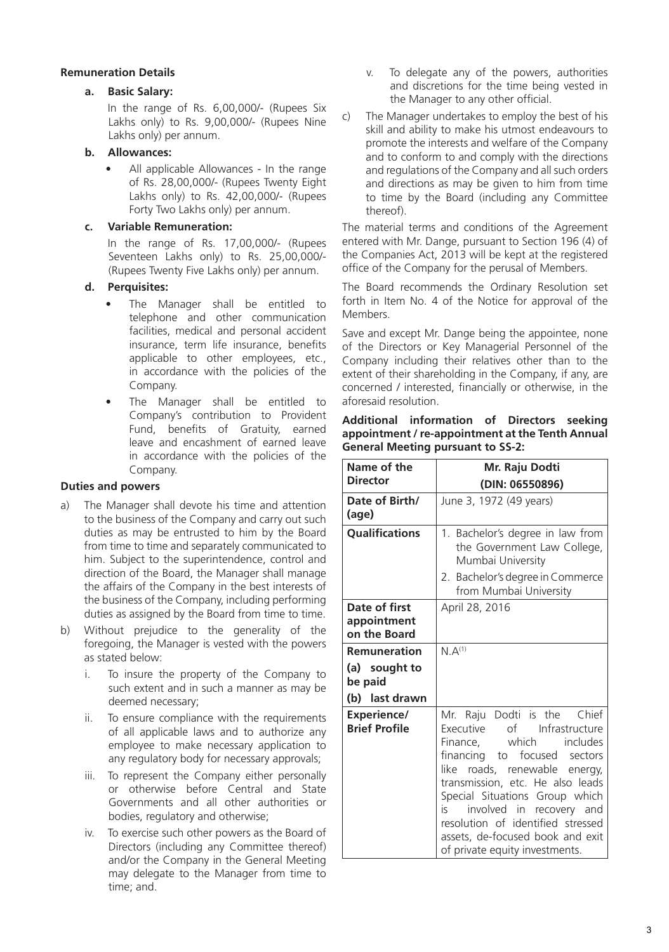### **Remuneration Details**

### **a. Basic Salary:**

In the range of Rs. 6,00,000/- (Rupees Six Lakhs only) to Rs. 9,00,000/- (Rupees Nine Lakhs only) per annum.

### **b. Allowances:**

All applicable Allowances - In the range of Rs. 28,00,000/- (Rupees Twenty Eight Lakhs only) to Rs. 42,00,000/- (Rupees Forty Two Lakhs only) per annum.

#### **c. Variable Remuneration:**

In the range of Rs. 17,00,000/- (Rupees Seventeen Lakhs only) to Rs. 25,00,000/- (Rupees Twenty Five Lakhs only) per annum.

### **d. Perquisites:**

- The Manager shall be entitled to telephone and other communication facilities, medical and personal accident insurance, term life insurance, benefits applicable to other employees, etc., in accordance with the policies of the Company.
- The Manager shall be entitled to Company's contribution to Provident Fund, benefits of Gratuity, earned leave and encashment of earned leave in accordance with the policies of the Company.

### **Duties and powers**

- a) The Manager shall devote his time and attention to the business of the Company and carry out such duties as may be entrusted to him by the Board from time to time and separately communicated to him. Subject to the superintendence, control and direction of the Board, the Manager shall manage the affairs of the Company in the best interests of the business of the Company, including performing duties as assigned by the Board from time to time.
- b) Without prejudice to the generality of the foregoing, the Manager is vested with the powers as stated below:
	- i. To insure the property of the Company to such extent and in such a manner as may be deemed necessary;
	- ii. To ensure compliance with the requirements of all applicable laws and to authorize any employee to make necessary application to any regulatory body for necessary approvals;
	- iii. To represent the Company either personally or otherwise before Central and State Governments and all other authorities or bodies, regulatory and otherwise;
	- iv. To exercise such other powers as the Board of Directors (including any Committee thereof) and/or the Company in the General Meeting may delegate to the Manager from time to time; and.
- v. To delegate any of the powers, authorities and discretions for the time being vested in the Manager to any other official.
- c) The Manager undertakes to employ the best of his skill and ability to make his utmost endeavours to promote the interests and welfare of the Company and to conform to and comply with the directions and regulations of the Company and all such orders and directions as may be given to him from time to time by the Board (including any Committee thereof).

The material terms and conditions of the Agreement entered with Mr. Dange, pursuant to Section 196 (4) of the Companies Act, 2013 will be kept at the registered office of the Company for the perusal of Members.

The Board recommends the Ordinary Resolution set forth in Item No. 4 of the Notice for approval of the Members.

Save and except Mr. Dange being the appointee, none of the Directors or Key Managerial Personnel of the Company including their relatives other than to the extent of their shareholding in the Company, if any, are concerned / interested, financially or otherwise, in the aforesaid resolution.

|                                                  | Additional information of Directors seeking |  |  |  |
|--------------------------------------------------|---------------------------------------------|--|--|--|
| appointment / re-appointment at the Tenth Annual |                                             |  |  |  |
| <b>General Meeting pursuant to SS-2:</b>         |                                             |  |  |  |

| Name of the                                                | Mr. Raju Dodti                                                                                                                                                                                                                                                                                                                                                                 |  |
|------------------------------------------------------------|--------------------------------------------------------------------------------------------------------------------------------------------------------------------------------------------------------------------------------------------------------------------------------------------------------------------------------------------------------------------------------|--|
| <b>Director</b>                                            | (DIN: 06550896)                                                                                                                                                                                                                                                                                                                                                                |  |
| Date of Birth/<br>(age)                                    | June 3, 1972 (49 years)                                                                                                                                                                                                                                                                                                                                                        |  |
| <b>Qualifications</b>                                      | 1. Bachelor's degree in law from<br>the Government Law College,<br>Mumbai University                                                                                                                                                                                                                                                                                           |  |
|                                                            | 2. Bachelor's degree in Commerce<br>from Mumbai University                                                                                                                                                                                                                                                                                                                     |  |
| Date of first<br>appointment<br>on the Board               | April 28, 2016                                                                                                                                                                                                                                                                                                                                                                 |  |
| Remuneration<br>(a) sought to<br>be paid<br>(b) last drawn | $N.A^{(1)}$                                                                                                                                                                                                                                                                                                                                                                    |  |
| <b>Experience/</b><br><b>Brief Profile</b>                 | Mr. Raju Dodti is the Chief<br>Executive of Infrastructure<br>Finance, which includes<br>financing to focused sectors<br>like roads, renewable<br>energy,<br>transmission, etc. He also leads<br>Special Situations Group which<br>involved in recovery and<br>is i<br>resolution of identified stressed<br>assets, de-focused book and exit<br>of private equity investments. |  |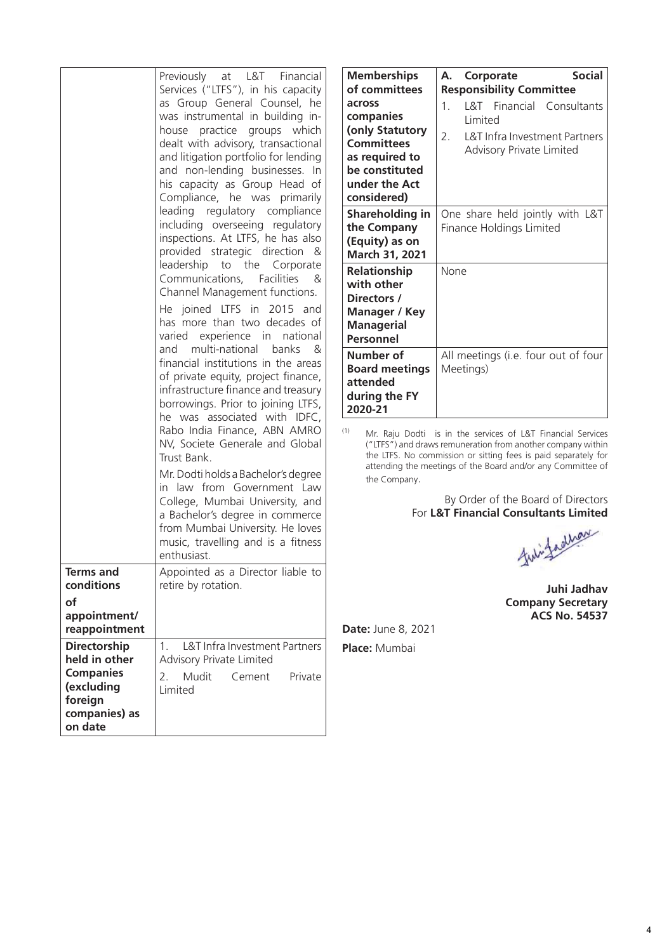| <b>Terms and</b><br>conditions<br>οf                                                                          | Previously at L&T Financial<br>Services ("LTFS"), in his capacity<br>as Group General Counsel, he<br>was instrumental in building in-<br>house practice groups which<br>dealt with advisory, transactional<br>and litigation portfolio for lending<br>and non-lending businesses. In<br>his capacity as Group Head of<br>Compliance, he was primarily<br>leading regulatory compliance<br>including overseeing regulatory<br>inspections. At LTFS, he has also<br>provided strategic direction<br>&<br>leadership to the Corporate<br>Communications, Facilities<br>&<br>Channel Management functions.<br>He joined LTFS in 2015 and<br>has more than two decades of<br>varied experience in national<br>and multi-national<br>banks<br>&<br>financial institutions in the areas<br>of private equity, project finance,<br>infrastructure finance and treasury<br>borrowings. Prior to joining LTFS,<br>he was associated with IDFC,<br>Rabo India Finance, ABN AMRO<br>NV, Societe Generale and Global<br>Trust Bank.<br>Mr. Dodti holds a Bachelor's degree<br>in law from Government Law<br>College, Mumbai University, and<br>a Bachelor's degree in commerce<br>from Mumbai University. He loves<br>music, travelling and is a fitness<br>enthusiast.<br>Appointed as a Director liable to<br>retire by rotation. | Membership<br>of committe<br>across<br>companies<br>(only Statute<br><b>Committees</b><br>as required t<br>be constitut<br>under the A<br>considered)<br>Shareholdin<br>the Compan<br>(Equity) as o<br><b>March 31, 20</b><br>Relationship<br>with other<br>Directors /<br>Manager / K<br><b>Managerial</b><br>Personnel<br>Number of<br><b>Board meeti</b><br>attended<br>during the F<br>2020-21<br>(1)<br>Mr. Raju D<br>("LTFS") and<br>the LTFS. No<br>attending th<br>the Compar |
|---------------------------------------------------------------------------------------------------------------|------------------------------------------------------------------------------------------------------------------------------------------------------------------------------------------------------------------------------------------------------------------------------------------------------------------------------------------------------------------------------------------------------------------------------------------------------------------------------------------------------------------------------------------------------------------------------------------------------------------------------------------------------------------------------------------------------------------------------------------------------------------------------------------------------------------------------------------------------------------------------------------------------------------------------------------------------------------------------------------------------------------------------------------------------------------------------------------------------------------------------------------------------------------------------------------------------------------------------------------------------------------------------------------------------------------------|---------------------------------------------------------------------------------------------------------------------------------------------------------------------------------------------------------------------------------------------------------------------------------------------------------------------------------------------------------------------------------------------------------------------------------------------------------------------------------------|
| appointment/<br>reappointment                                                                                 |                                                                                                                                                                                                                                                                                                                                                                                                                                                                                                                                                                                                                                                                                                                                                                                                                                                                                                                                                                                                                                                                                                                                                                                                                                                                                                                        | Date: June 8,                                                                                                                                                                                                                                                                                                                                                                                                                                                                         |
| <b>Directorship</b><br>held in other<br><b>Companies</b><br>(excluding<br>foreign<br>companies) as<br>on date | <b>L&amp;T</b> Infra Investment Partners<br>1.<br><b>Advisory Private Limited</b><br>Mudit<br>2.<br>Private<br>Cement<br>Limited                                                                                                                                                                                                                                                                                                                                                                                                                                                                                                                                                                                                                                                                                                                                                                                                                                                                                                                                                                                                                                                                                                                                                                                       | Place: Mumba                                                                                                                                                                                                                                                                                                                                                                                                                                                                          |

| <b>Memberships</b><br>of committees                                                                                             | <b>Social</b><br>Corporate<br>А.<br><b>Responsibility Committee</b>                                                   |  |
|---------------------------------------------------------------------------------------------------------------------------------|-----------------------------------------------------------------------------------------------------------------------|--|
| across<br>companies<br>(only Statutory<br><b>Committees</b><br>as required to<br>be constituted<br>under the Act<br>considered) | L&T Financial Consultants<br>1.<br>I imited<br>2.<br>L&T Infra Investment Partners<br><b>Advisory Private Limited</b> |  |
| Shareholding in<br>the Company<br>(Equity) as on<br>March 31, 2021                                                              | One share held jointly with L&T<br>Finance Holdings Limited                                                           |  |
| <b>Relationship</b><br>with other<br>Directors /<br>Manager / Key<br><b>Managerial</b><br><b>Personnel</b>                      | None                                                                                                                  |  |
| Number of<br><b>Board meetings</b><br>attended<br>during the FY<br>2020-21                                                      | All meetings (i.e. four out of four<br>Meetings)                                                                      |  |

(1) Modti is in the services of L&T Financial Services ("LTFS") and draws remuneration from another company within the LTFS. No commission or sitting fees is paid separately for he meetings of the Board and/or any Committee of ny.

> By Order of the Board of Directors For **L&T Financial Consultants Limited**

fulifaallan

**Juhi Jadhav Company Secretary ACS No. 54537**

**Date:** June 8, 2021

**Place:** Mumbai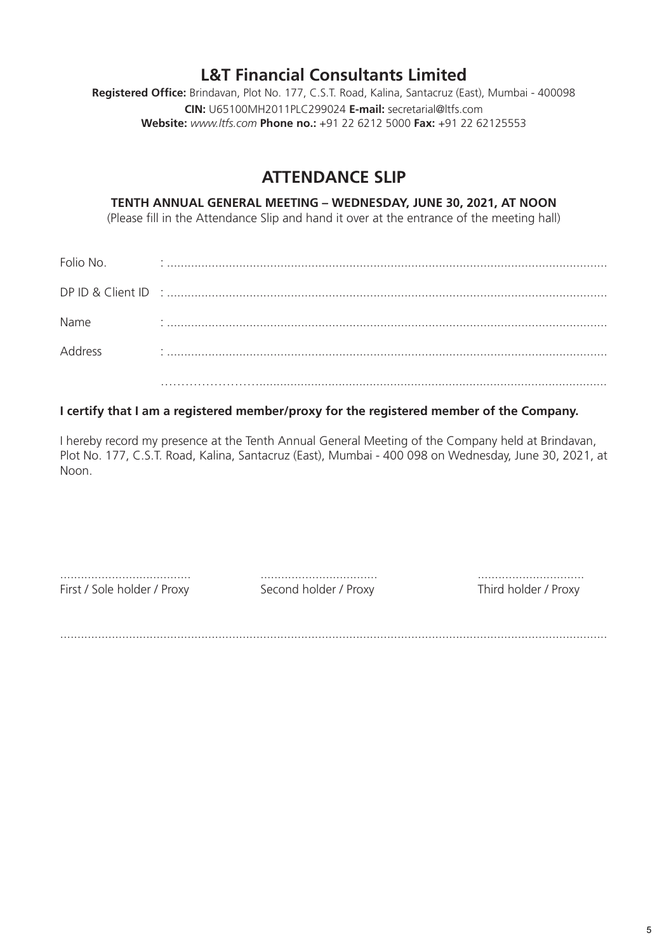## **L&T Financial Consultants Limited**

**Registered Office:** Brindavan, Plot No. 177, C.S.T. Road, Kalina, Santacruz (East), Mumbai - 400098 **CIN:** U65100MH2011PLC299024 **E-mail:** secretarial@ltfs.com **Website:** *www.ltfs.com* **Phone no.:** +91 22 6212 5000 **Fax:** +91 22 62125553

# **ATTENDANCE SLIP**

## **TENTH ANNUAL GENERAL MEETING – WEDNESDAY, JUNE 30, 2021, AT NOON**

(Please fill in the Attendance Slip and hand it over at the entrance of the meeting hall)

| Folio No. |  |
|-----------|--|
|           |  |
| Name      |  |
| Address   |  |
|           |  |

## **I certify that I am a registered member/proxy for the registered member of the Company.**

I hereby record my presence at the Tenth Annual General Meeting of the Company held at Brindavan, Plot No. 177, C.S.T. Road, Kalina, Santacruz (East), Mumbai - 400 098 on Wednesday, June 30, 2021, at Noon.

First / Sole holder / Proxy Second holder / Proxy Third holder / Proxy

...................................... .................................. ...............................

...............................................................................................................................................................